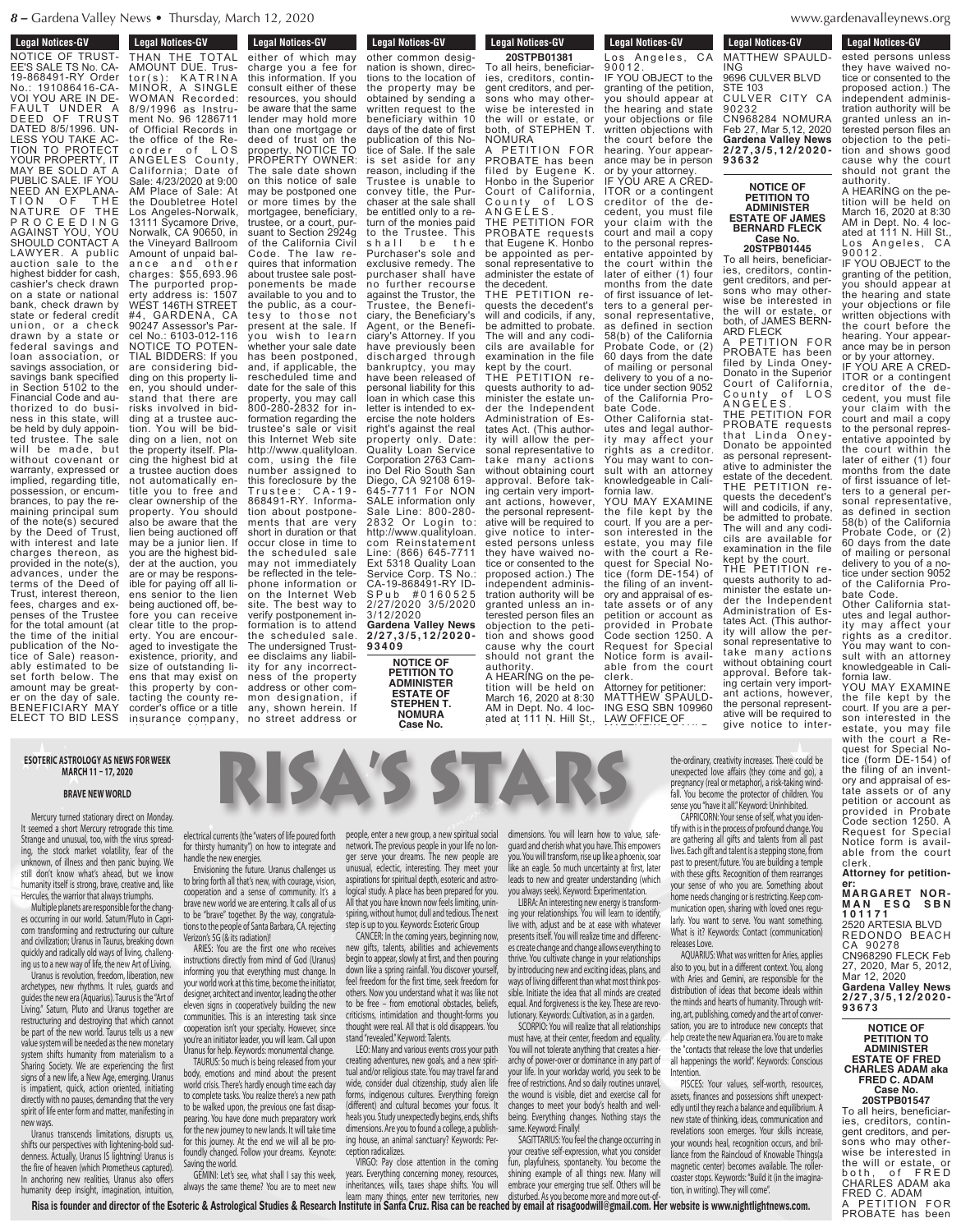**Legal Notices-GV** 

**ELEGAT NUMBERS-CIV** 

**Legal Notices-GV** NOTICE OF TRUST-EE'S SALE TS No. CA-19-868491-RY Order<br>No.: 191086416-CA-191086416-CA VOI YOU ARE IN DE-FAULT UNDER A DEED OF TRUST DATED 8/5/1996. UN-LESS YOU TAKE AC-TION TO PROTECT YOUR PROPERTY, IT MAY BE SOLD AT A<br>PUBLIC SALE. IF YOU PUBLIC SALE. NEED AN EXPLANA-TION OF THE NATURE OF THE P R O C E E D I N G AGAINST YOU, YOU SHOULD CONTACT A LAWYER. A public auction sale to the highest bidder for cash, cashier's check drawn on a state or national bank, check drawn by state or federal credit union, or a check drawn by a state or federal savings and loan association, or savings association, or savings bank specified in Section 5102 to the Financial Code and authorized to do business in this state, will be held by duly appointed trustee. The sale will be made, but without covenant or warranty, expressed or implied, regarding title, possession, or encumbrances, to pay the remaining principal sum of the note(s) secured by the Deed of Trust with interest and late charges thereon, as<br>provided in the note(s), provided in the note(s), advances, under the terms of the Deed of Trust, interest thereon, fees, charges and expenses of the Trustee for the total amount (at the time of the initial publication of the Notice of Sale) reasonably estimated to be set forth below. The amount may be greater on the day of sale. BENEFICIARY MAY ELECT TO BID LESS

no street address or THAN THE TOTAL AMOUNT DUE. Trustor(s): KATRINA MINOR, A SINGLE WOMAN Recorded: 8/9/1996 as Instrument No. 96 1286711 of Official Records in the office of the Recorder of LOS ANGELES County, California; Date of Sale: 4/23/2020 at 9:00 AM Place of Sale: At the Doubletree Hotel Los Angeles-Norwalk, 13111 Sycamore Drive, Norwalk, CA 90650, in the Vineyard Ballroom Amount of unpaid balance and other charges: \$55,693.96 The purported property address is: 1507 WEST 146TH STREET #4, GARDENA, CA 90247 Assessor's Parcel No.: 6103-012-116 NOTICE TO POTEN-TIAL BIDDERS: If you are considering bidding on this property lien, you should understand that there are risks involved in bidding at a trustee auction. You will be bidding on a lien, not on the property itself. Placing the highest bid at a trustee auction does not automatically entitle you to free and clear ownership of the property. You should also be aware that the lien being auctioned off may be a junior lien. If you are the highest bidder at the auction, you are or may be responsible for paying off all liens senior to the lien being auctioned off, before you can receive clear title to the property. You are encouraged to investigate the existence, priority, and size of outstanding liens that may exist on this property by contacting the county recorder's office or a title insurance company, either of which may

this information. If you

than one mortgage or

**Legal Notices-GV** Legal Nutries-dy either of which may charge you a fee for this information. If you consult either of these resources, you should be aware that the same lender may hold more than one mortgage or deed of trust on the property. NOTICE TO PROPERTY OWNER: The sale date shown on this notice of sale may be postponed one or more times by the mortgagee, beneficiary, trustee, or a court, pursuant to Section 2924g of the California Civil Code. The law requires that information about trustee sale postponements be made available to you and to the public, as a courtesy to those not present at the sale. If you wish to learn whether your sale date has been postponed, and, if applicable, the rescheduled time and date for the sale of this property, you may call 800-280-2832 for information regarding the trustee's sale or visit this Internet Web site http://www.qualityloan. com, using the file number assigned to this foreclosure by the Trustee: CA-19-868491-RY. Information about postponements that are very short in duration or that occur close in time to the scheduled sale may not immediately be reflected in the telephone information or on the Internet Web site. The best way to verify postponement information is to attend the scheduled sale. The undersigned Trustee disclaims any liability for any incorrectness of the property address or other common designation, if any, shown herein. If

**Legal Notices-GV** Legal Nutles-GV other common designation is shown, directions to the location of the property may be obtained by sending a written request to the beneficiary within 10 days of the date of first publication of this Notice of Sale. If the sale is set aside for any reason, including if the Trustee is unable to convey title, the Purchaser at the sale shall be entitled only to a return of the monies paid to the Trustee. This shall be the Purchaser's sole and exclusive remedy. The purchaser shall have no further recourse against the Trustor, the Trustee, the Beneficiary, the Beneficiary's Agent, or the Beneficiary's Attorney. If you have previously been discharged through bankruptcy, you may have been released of personal liability for this loan in which case this letter is intended to exercise the note holders right's against the real property only. Date: Quality Loan Service Corporation 2763 Camino Del Rio South San Diego, CA 92108 619- 645-7711 For NON SALE information only Sale Line: 800-280- 2832 Or Login to: http://www.qualityloan. com Reinstatement Line: (866) 645-7711 Ext 5318 Quality Loan Service Corp. TS No.: CA-19-868491-RY ID-S P u b # 0 1 6 0 5 2 5 2/27/2020 3/5/2020 3/12/2020 **Gardena Valley News 2 / 2 7 , 3 / 5 , 1 2 / 2 0 2 0 - 9 3 4 0 9**

**NOTICE OF PETITION TO ADMINISTER ESTATE OF STEPHEN T. NOMURA Case No.**

To all heirs, beneficiaries, creditors, contingent creditors, and persons who may otherwise be interested in the will or estate, or both, of STEPHEN T. **Legal Notices-GV Case No. 20STPB01381**

To all heirs, beneficiaries, creditors, contingent creditors, and persons who may otherwise be interested in the will or estate, or both, of STEPHEN T. NOMURA A PETITION FOR PROBATE has been

filed by Eugene K. Honbo in the Superior Court of California, County of LOS A N G E L E S . THE PETITION FOR PROBATE requests that Eugene K. Honbo be appointed as personal representative to administer the estate of

the decedent. THE PETITION requests the decedent's will and codicils, if any, be admitted to probate. The will and any codicils are available for examination in the file kept by the court.

THE PETITION requests authority to administer the estate under the Independent Administration of Estates Act. (This authority will allow the personal representative to take many actions without obtaining court approval. Before taking certain very important actions, however, the personal representative will be required to give notice to interested persons unless they have waived notice or consented to the proposed action.) The independent administration authority will be granted unless an interested person files an objection to the petition and shows good cause why the court should not grant the

authority. A HEARING on the petition will be held on March 16, 2020 at 8:30 AM in Dept. No. 4 located at 111 N. Hill St.,  $\mathcal{L}$  and  $\mathcal{L}$ 

 $\blacksquare$   $\blacksquare$   $\blacksquare$ 

**Legal Notices-GV** 

Legal Nutries-dy \_os Angeles, CA 9 0 0 1 2 . IF YOU OBJECT to the

the court before the hearing. Your appearance may be in person or by your attorney. IF YOU ARE A CRED-ITOR or a contingent creditor of the decedent, you must file your claim with the court and mail a copy to the personal representative appointed by the court within the later of either (1) four months from the date of first issuance of letters to a general personal representative, as defined in section 58(b) of the California Probate Code, or (2) 60 days from the date

delivery to you of a notice under section 9052 of the California Pro-

bate Code.

fornia law.

clerk.

Attorney for petitioner:

LAW OFFICE OF

9696 CULVER BLVD STE 103 CULVER CITY CA 90232 CN968284 NOMURA granting of the petition, you should appear at the hearing and state your objections or file written objections with

ING

Feb 27, Mar 5,12, 2020 **Gardena Valley News 2 / 2 7 , 3 / 5 , 1 2 / 2 0 2 0 - 9 3 6 3 2**

**Legal Notices-GV** 

Leyal NULLES-UV MATTHEW SPAULD-

### **NOTICE OF PETITION TO ADMINISTER ESTATE OF JAMES BERNARD FLECK Case No. 20STPB01445**

To all heirs, beneficiaries, creditors, contingent creditors, and persons who may otherwise be interested in the will or estate, or both, of JAMES BERN-ARD FLECK A PETITION FOR

PROBATE has been filed by Linda Oney-Donato in the Superior Court of California, County of LOS of mailing or personal

A N G E L E S . THE PETITION FOR PROBATE requests that Linda Oney-Donato be appointed as personal representative to administer the estate of the decedent. THE PETITION requests the decedent's will and codicils, if any, be admitted to probate. The will and any codicils are available for examination in the file kept by the court. Other California statutes and legal authority may affect your rights as a creditor. You may want to consult with an attorney knowledgeable in Cali-YOU MAY EXAMINE the file kept by the court. If you are a person interested in the estate, you may file with the court a Re-

THE PETITION requests authority to administer the estate under the Independent Administration of Estates Act. (This authority will allow the personal representative to take many actions without obtaining court approval. Before taking certain very important actions, however, the personal representative will be required to give notice to interquest for Special Notice (form DE-154) of the filing of an inventory and appraisal of estate assets or of any petition or account as provided in Probate Code section 1250. A Request for Special Notice form is available from the court MATTHEW SPAULD-ING ESQ SBN 109960

ested persons unless

**MARCH 11 – 17, 2020**<br>
MARCH 11 – 17, 2020<br>
MARCH 11 – 17, 2020 the-ordinary, creativity increases. There could be Ine-bruniary, creativity increases. There could be<br>unexpected love affairs (they come and go), a pregnancy (real or metaphor), a risk-taking windfall. You become the protector of children. You sense you "have it all." Keyword: Uninhibited.  $\frac{1}{2}$  independent administration of the property (the company (real parameter head) a still the company of the cultural parameter  $\frac{1}{2}$ 9696 CULVER BLVD

Exerce you have it all. Reyword: Unimitated.<br>CAPRICORN: Your sense of self, what you iden-CAPRICONN. Tour sense of sent, what you iden-<br>tify with is in the process of profound change. You are gathering all gifts and talents from all past lives. Each gift and talent is a stepping stone, from past to present/future. You are building a temple plast to present, retailer for are believing a tempre with these girts. Recognition of them realianges<br>your sense of who you are. Something about home needs changing or is restricting. Keep communication open, sharing with loved ones regularly. You want to serve. You want something. What is it? Keywords: Contact (communication) releases Love. gifts and talents from all past d talent is a stepping stone, from  $m_0$  you are. Sometimity about

> accularius.<br>AQUARIUS: What was written for Aries, applies also to you, but in a different context. You, along with Aries and Gemini, are responsible for the with Aries and Gemini, are responsible for the<br>distribution of ideas that become ideals within the minds and hearts of humanity. Through writing, art, publishing, comedy and the art of conversation, you are to introduce new concepts that help create the new Aquarian era. You are to make the "contacts that release the love that underlies" all happenings the world". Keywords: Conscious  $\frac{1}{2}$  a university contract. To  $u_i$  along leas that become ideals within

**Intention** ention.<br>PISCES: Your values, self-worth, resources, assets, finances and possessions shift unexpectedly until they reach a balance and equilibrium. A new state of thinking, ideas, communication and revelations soon emerges. Your skills increase, your wounds heal, recognition occurs, and brilyour wounds near, recognition occurs, and bin-<br>liance from the Raincloud of Knowable Things(a magnetic center) becomes available. The rollercoaster stops. Keywords: "Build it (in the imagination, in writing). They will come". The section of the fine of the fine of the fine of the fine of the fine of values, self-worth, resources, of faincipud of Knowable Things(a<br>http://www.industrial.com

re world. Reywords. Coriscious

Probate Code, or (2) son interested in the estate, you may file

denavalleynews, org www.gardenavalleynews.org matter space of the way

### **Legal Notices-GV** Legal Nutres-GV

ested persons unless they have waived notice or consented to the proposed action.) The independent administration authority will be granted unless an interested person files an objection to the petition and shows good cause why the court should not grant the authority. A HEARING on the petition will be held on March 16, 2020 at 8:30

ated at 111 N. Hill St., Los Angeles, CA 9 0 0 1 2 . IF YOU OBJECT to the granting of the petition, you should appear at the hearing and state your objections or file written objections with the court before the

AM in Dept. No. 4 loc-

hearing. Your appearance may be in person or by your attorney. IF YOU ARE A CRED-ITOR or a contingent creditor of the decedent, you must file your claim with the court and mail a copy to the personal representative appointed by the court within the later of either (1) four months from the date of first issuance of letters to a general personal representative, as defined in section 58(b) of the California Probate Code, or (2) 60 days from the date of mailing or personal delivery to you of a notice under section 9052 of the California Pro-

bate Code. Other California statutes and legal authority may affect your rights as a creditor. You may want to consult with an attorney knowledgeable in California law.

YOU MAY EXAMINE the file kept by the court. If you are a person interested in the estate, you may file with the court a Request for Special Notice (form DE-154) of the filing of an inventory and appraisal of estate assets or of any petition or account as provided in Probate Code section 1250. A Request for Special Notice form is available from the court

clerk. **Attorney for petition-**

**er: MARGARET NOR-**

**M A N E S Q S B N 1 0 1 1 7 1** 2520 ARTESIA BLVD REDONDO BEACH

CA 90278 CN968290 FLECK Feb 27, 2020, Mar 5, 2012, Mar 12, 2020 **Gardena Valley News 2 / 2 7 , 3 / 5 , 1 2 / 2 0 2 0 -**

**9 3 6 7 3**

### **NOTICE OF PETITION TO ADMINISTER ESTATE OF FRED CHARLES ADAM aka FRED C. ADAM**

**Case No. 20STPB01547**

To all heirs, beneficiaries, creditors, contingent creditors, and persons who may otherwise be interested in the will or estate, or both, of FRED CHARLES ADAM aka FRED C. ADAM A PETITION FOR PROBATE has been<br>.

#### **ESOTERIC ASTROLOGY AS NEWS FOR WEEK MARCH 11 - 17, 2020** resources, you should be a short be aware that the same lender may hold more ESOTERIC ASTROLOGY AS N MARCH 11 - 17, 2020 8/9/1996 as Instru-

### **BRAVE NEW WORLD** of  $\alpha$  of  $\alpha$  of  $\alpha$  in the cordination in  $\alpha$

Mercury turned stationary direct on Monday. Inectury turned stationary direct on monday.<br>It seemed a short Mercury retrograde this time. Strange and unusual, too, with the virus spread-Strange and unusual, too, with the virus spread-<br>ing, the stock market volatility, fear of the unknown, of illness and then panic buying. We strature the new  $\epsilon$ still don't know what's ahead, but we know Envisioning tr humanity itself is strong, brave, creative and, like Hercules, the warrior that always triumphs. It seemed a short wercury retr ing, the stock market volati

Multiple planets are responsible for the changmanipic planets are responsible for the ending<br>es occurring in our world. Saturn/Pluto in Capricorn transforming and restructuring our culture com transforming and restructuring our culture<br>and civilization; Uranus in Taurus, breaking down and civilization; oranus in Taurus, breaking down<br>quickly and radically old ways of living, challenging us to a new way of life, the new Art of Living. quickly and radically old ways c

Uranus is revolution, freedom, liberation, new influenting you the archetypes, new rhythms. It rules, guards and archetypes, new rhythms. It rules, guards and your world work a<br>quides the new era (Aquarius). Taurus is the "Art of designer, architec Living." Saturn, Pluto and Uranus together are eleven signs in  $\zeta$ restructuring and destroying that which cannot be part of the new world. Taurus tells us a new be part of the new world: Tadras tens as a new system shifts humanity from materialism to a System since numantly non-matemaism to a<br>Sharing Society. We are experiencing the first the TAURUS: So m signs of a new life, a New Age, emerging. Uranus signs of a new life, a new Age, emerging. Uranus and the coloristic stage is started.<br>Is impatient, quick, action oriented, initiating world crisis. There directly with no pauses, demanding that the very to complete task spirit of life enter form and matter, manifesting in the walked up new ways. archetypes, new rhythms. It r guides the new era (Aquarius). T restructuring and destroving th The nart of the new world Taur value system will be riceated as System should numanity non sharing society. We are expe is impatient, quick, action or

Uranus transcends limitations, disrupts us, shifts our perspectives with lightening-bold suddenness. Actually, Uranus IS lightning! Uranus is the fire of heaven (which Prometheus captured). In anchoring new realities, Uranus also offers humanity deep insight, imagination, intuition, all the same  $\frac{3}{2}$  counter is Saving the world. in anchoring new realities, u

may be a junior lien. If  $\alpha$ 

tor of the Esoteric & Astrological Studies & Research Inst<mark>i</mark> **Risa is founder and direct** 

occur component and the time to the time the set of  $\sim$ 

age this time.<br>s virus coread. Pelectrical currents (the "waters of life poured forth pec  $r$  for thirsty humanity") on how to integrate and net tear of the  $\frac{100}{100}$  this numanity for the new energies. rule the flew energies.<br>Envisioning the future. Uranus challenges us unt Figure 1991 of the sale of the sale of the sale of the sale of the shown of the shown of the shown of the shown of the shown of the shown of the shown of the shown of the shown of the shown of the shown of the shown of the

 $t = t$ the property may be obtained by sending a written request to the second second request to the second second request to the second request of  $\Delta$ beneficiary within 10 days of the date of first publication of this No-

to bring forth all that's new, with courage, vision, to bring forth all that's new, with courage, vision, asp<br>cooperation and a sense of community. It's a log for the chang-<br>for the chang-<br> $\frac{1}{2}$  brave new world we are entering. It calls all of us All  $p_{\text{luth}}$  in  $C_{\text{anri}}$  to be "brave" together. By the way, congratula- $\frac{1}{2}$  curculture tions to the people of Santa Barbara, CA. rejecting step  $\frac{1}{2}$  verizon's 5G (& its radiation)! quie. Uranus challenges us and ative and, like to bring forth all that's new, with courage, vision, asp.<br>jumphs, cooperation and a sense of community. It's a iumphs. Cooperation and

Iteaking down<br>ing challeng. ARIES: You are the first one who receives nev ling, challeng-<br>Art of Living instructions directly from mind of God (Uranus) beg informing you that everything must change. In dow your world work at this time, become the initiator, your world work at this time, become the initiator, and contain the Beneficial According the other oth eleven signs in cooperatively building the new  $\frac{10}{2}$ which cannot communities. This is an interesting task since Criti  $\frac{1}{10}$  cooperation isn't your specialty. However, since tho remplace and initiator leader, you will learn. Call upon stai  $\frac{1}{1}$   $\frac{1}{10}$   $\frac{1}{10}$   $\frac{1}{10}$   $\frac{1}{10}$   $\frac{1}{10}$   $\frac{1}{10}$   $\frac{1}{10}$   $\frac{1}{10}$   $\frac{1}{10}$   $\frac{1}{10}$   $\frac{1}{10}$   $\frac{1}{10}$   $\frac{1}{10}$   $\frac{1}{10}$   $\frac{1}{10}$   $\frac{1}{10}$   $\frac{1}{10}$   $\frac{1}{10}$   $\frac{1}{10}$   $\$  $T_{\text{tot}}$  and the Beneficial Beneficial and the explained to you and the beneficial dependence of the Beneficial Contract  $T_{\text{tot}}$ Agent, or the Benefius is the "Art of care at the sale of the sale.

TAURUS: So much is being released from your crea property the first the contract complement case of the present that the present that sody, emotions and mind about the present ted, initiating world crisis. Here's hardly enough three derivedly well<br>a that the very to complete tasks. You realize there's a new path for to complete tasks. Tou realize there's a flew pather form<br>to be walked upon, the previous one fast disappearing. You have done much preparatory work in the pearing. You have done much preparatory work , disrupts  $\,$ us,  $\,$  for the new journey to new lands. It will take time  $\,$  diff  $\delta$ <sub>ning-bold sud-</sub> for this journey. At the end we will all be pro-  $\delta$  ing my creatus foundly changed. Follow your dreams. Keynote: Cep<br>aus cantured) Saving the world. the previous one rast disap-

eus captureu).<br>Lis also offers GEMINI: Let's see, what shall I say this week, yea us diso offers<br>tion intuition always the same theme? You are to meet new inh

people, enter a new group, a new spiritual social peopie, enter a new group, a new spiritual social<br>network. The previous people in your life no longer serve your dreams. The new people are unusual, eclectic, interesting. They meet your aspirations for spiritual depth, esoteric and astrological study. A place has been prepared for you. All that you have known now feels limiting, uninspiring, without humor, dull and tedious. The next step is up to you. Keywords: Esoteric Group rk. The previous people in your life

physip to you. Hey words: Esotene Group<br>CANCER: In the coming years, beginning now, EXIVEEN: in the coming years, beginning now,<br>new gifts, talents, abilities and achievements begin to appear, slowly at first, and then pouring pegin to appear, slowly at first, and then pouring<br>down like a spring rainfall. You discover yourself, feel freedom for the first time, seek freedom for others. Now you understand what it was like not to be free - from emotional obstacles, beliefs, criticisms, intimidation and thought-forms you thought were real. All that is old disappears. You example in the file the file stand "revealed." Keyword: Talents.  $\mu$ is, talents, abilities and achiever like a spring rainfall. You discover y

LEO: Many and various events cross your path EED: marry and various events eross your path creating adventures, new goals, and a new spin-<br>tual and/or religious state. You may travel far and wide, consider dual citizenship, study alien life i forms, indigenous cultures. Everything foreign (different) and cultural becomes your focus. It heals you. Study unexpectedly begins, ends, shifts dimensions. Are you to found a college, a publishing house, an animal sanctuary? Keywords: Perception radicalizes. u/or religious state. Tou may travel

learn many things, enter new territories, new Risa is founder and director of the Esoteric & Astrological Studies & Research Institute in Santa Cruz. Risa can be reached by email at risagoodwill@gmail.com. Her website is www.nightlightnews.com.<br>Risa is founder and dir dilces, Wills, taxes stiape stillts. T ited to many things, enter hew territorie<br>al Studies & Research Institute in Santa Cruz. Risa can be

 $\alpha$  **3** dimensions. You will learn how to value, safelon- guard and cherish what you have. This empowers you. You will transform, rise up like a phoenix, soar like an eagle. So much uncertainty at first, later From the air eagle. So much differenting at mst, fater<br>stro- leads to new and greater understanding (which kto- leads to new and greater understanding (w<br>you. you always seek). Keyword: Experimentation.  $\frac{1}{2}$   $\frac{1}{2}$   $\frac{1}{2}$   $\frac{1}{2}$   $\frac{1}{2}$   $\frac{1}{2}$   $\frac{1}{2}$   $\frac{1}{2}$   $\frac{1}{2}$   $\frac{1}{2}$   $\frac{1}{2}$   $\frac{1}{2}$   $\frac{1}{2}$   $\frac{1}{2}$   $\frac{1}{2}$   $\frac{1}{2}$   $\frac{1}{2}$   $\frac{1}{2}$   $\frac{1}{2}$   $\frac{1}{2}$   $\frac{1}{2}$   $\frac{1}{2}$   $I_{\text{OUT}}$   $I_{\text{B}}$  is a continue of  $I_{\text{D}}$  is a continue of  $I_{\text{B}}$ you. you always seek). Keyword:

min- LIBRA: An interesting new energy is transformnext ing your relationships. You will learn to identify, live with, adjust and be at ease with whatever now, presents itself. You will realize time and differencents es create change and change allows everything to ring thrive. You cultivate change in your relationships may the continued image in year concerning. Form they introducing from and exercing races, plans, and<br>I for ways of living different than what most think posnot sible. Initiate the idea that all minds are created equal. And forgiveness is the key. These are revoners, equal. And lorgiveness is the key. These are rev<br>you butionary. Keywords: Cultivation, as in a garden.

You SCORPIO: You will realize that all relationships lish- same. Keyword: Finally!<br>Disk of contra buls Y

Per-SAGITTARIUS: You feel the change occurring in will embrace your emerging tru  $new$  disturbed. As vou become n

 $\frac{1}{2}$  and  $\frac{1}{2}$  and  $\frac{1}{2}$  and  $\frac{1}{2}$  for  $\frac{1}{2}$  is not in the section of  $\frac{1}{2}$ 

VIRGO: Pay close attention in the coming years. Everything concerning money, resources, years. Everydning concerning money, resources,<br>inheritances, wills, taxes shape shifts. You will enter rou are to meet new

you lutionary. Keywords: Cultiva

must have, at their center, freedom and equality. path You will not tolerate anything that creates a hierpiri- archy of power-over or dominance in any part of and your life. In your workday world, you seek to be life free of restrictions. And so daily routines unravel, the wound is visible, diet and exercise call for Eight the would is visible, diet and exercise can be s. it changes to meet your body's nearly and well-<br>hifts being. Everything changes. Nothing stays the rilles Dellig. Everything Changes<br>Eekste as as Kommerch Finally

your creative self-expression, what you consider ning fun, playfulness, spontaneity. You become the rces, shining example of all things new. Many will embrace your emerging true self. Others will be disturbed. As you become more and more out-of-

RISA'S STARS 90232 granting of the petition, you should appear at the hearing and state your objections or file written objections with the court before the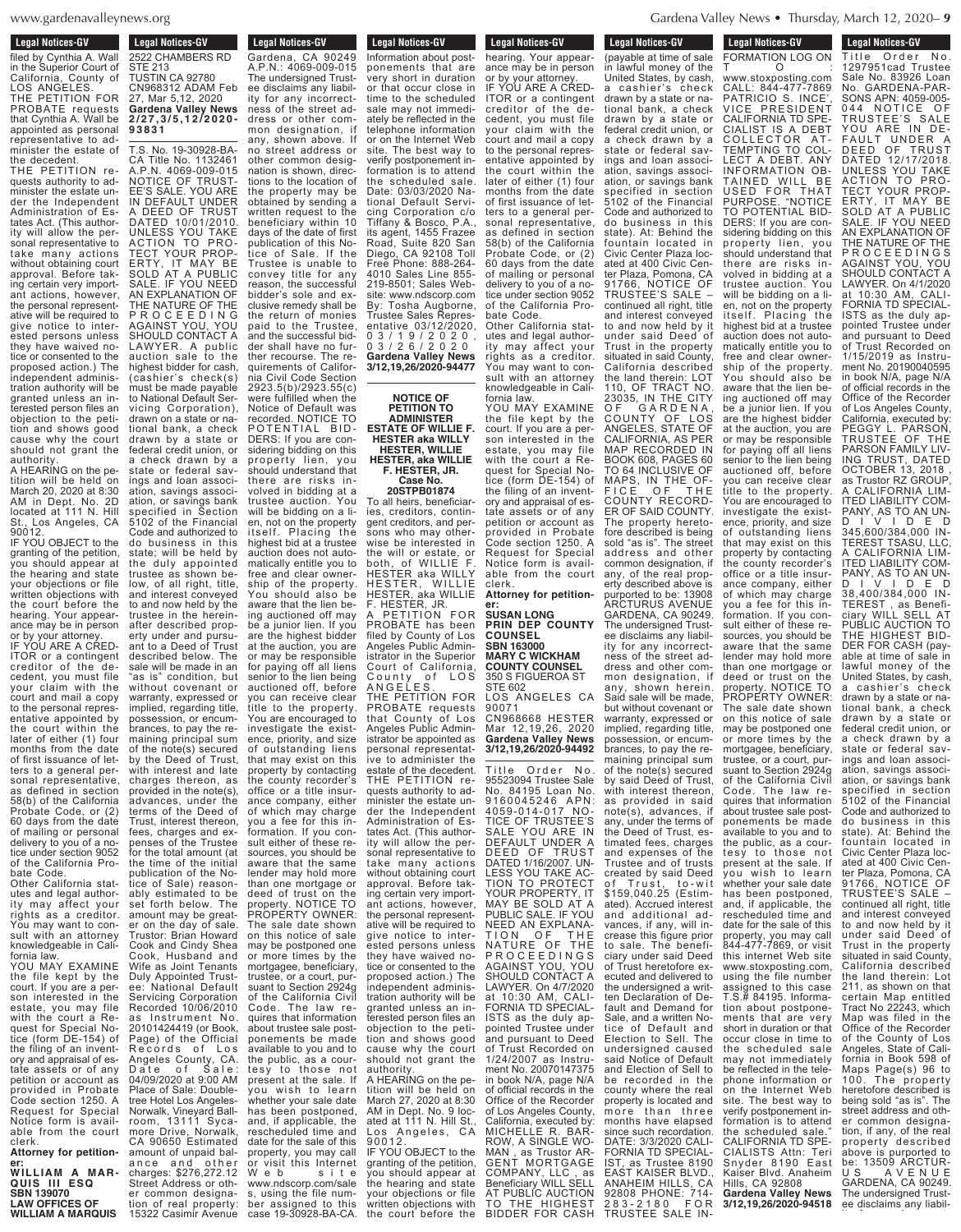$QWS$  *Org* www.gardenavalleynews.org  $\ldots$   $\ldots$   $\ldots$   $\ldots$   $\ldots$   $\ldots$   $\ldots$   $\ldots$   $\ldots$   $\ldots$   $\ldots$   $\ldots$   $\ldots$   $\ldots$   $\ldots$   $\ldots$   $\ldots$   $\ldots$   $\ldots$   $\ldots$   $\ldots$   $\ldots$   $\ldots$   $\ldots$   $\ldots$   $\ldots$   $\ldots$   $\ldots$   $\ldots$   $\ldots$   $\ldots$   $\ldots$   $\ldots$   $\ldots$   $\ldots$   $\ldots$   $\ldots$ 

### **Legal Notices-GV Example 19 and 19 and 19 and 19 and 19 and 19 and 19 and 19 and 19 and 19 and 19 and 19 and 19 and 19 and 19 a**

filed by Cynthia A. Wall in the Superior Court of California, County of LOS ANGELES. THE PETITION FOR PROBATE requests that Cynthia A. Wall be appointed as personal representative to administer the estate of the decedent.

THE PETITION requests authority to administer the estate under the Independent Administration of Estates Act. (This authority will allow the personal representative to take many actions without obtaining court approval. Before taking certain very important actions, however, the personal representative will be required to give notice to interested persons unless they have waived notice or consented to the proposed action.) The independent administration authority will be granted unless an interested person files an objection to the petition and shows good cause why the court should not grant the

authority. A HEARING on the petition will be held on March 20, 2020 at 8:30 AM in Dept. No. 2D located at 111 N. Hill St., Los Angeles, CA 90012.

IF YOU OBJECT to the granting of the petition, you should appear at the hearing and state your objections or file written objections with the court before the hearing. Your appearance may be in person or by your attorney.

IF YOU ARE A CRED-ITOR or a contingent creditor of the decedent, you must file your claim with the court and mail a copy to the personal representative appointed by the court within the later of either (1) four months from the date of first issuance of letters to a general personal representative, as defined in section 58(b) of the California Probate Code, or (2) 60 days from the date of mailing or personal delivery to you of a notice under section 9052 of the California Pro-

bate Code. Other California statutes and legal author-ity may affect your rights as a creditor. You may want to consult with an attorney knowledgeable in California law.

YOU MAY EXAMINE the file kept by the court. If you are a person interested in the estate, you may file with the court a Request for Special Notice (form DE-154) of the filing of an inventory and appraisal of estate assets or of any petition or account as provided in Probate Code section 1250. A Request for Special Notice form is available from the court clerk. **Attorney for petitioner:**

15322 Casimir Avenue **WILLIAM A MARQUIS WILLIAM A MAR-QUIS III ESQ SBN 139070 LAW OFFICES OF**

 $E$ **Legal Notices-GV Legal Nutries-GV** 2522 CHAMBERS RD STE 213 TUSTIN CA 92780 CN968312 ADAM Feb 27, Mar 5,12, 2020 **Gardena Valley News 2 / 2 7 , 3 / 5 , 1 2 / 2 0 2 0 - 9 3 8 3 1**

no street address or other common designation is shown, directions to the location of the property may be obtained by sending a written request to the beneficiary within 10 days of the date of first publication of this Notice of Sale. If the Trustee is unable to convey title for any reason, the successful bidder's sole and exclusive remedy shall be the return of monies paid to the Trustee, and the successful bidder shall have no further recourse. The requirements of California Civil Code Section 2923.5(b)/2923.55(c) were fulfilled when the Notice of Default was recorded. NOTICE TO POTENTIAL BID-DERS: If you are considering bidding on this property lien, you should understand that there are risks involved in bidding at a trustee auction. You will be bidding on a lien, not on the property itself. Placing the highest bid at a trustee auction does not automatically entitle you to free and clear ownership of the property. You should also be aware that the lien being auctioned off may be a junior lien. If you are the highest bidder at the auction, you are or may be responsible for paying off all liens senior to the lien being auctioned off, before you can receive clear title to the property. You are encouraged to investigate the existence, priority, and size of outstanding liens that may exist on this property by contacting the county recorder's office or a title insurance company, either<br>of which may charge of which may charge you a fee for this information. If you consult either of these resources, you should be aware that the same lender may hold more than one mortgage or deed of trust on the property. NOTICE TO PROPERTY OWNER: The sale date shown on this notice of sale may be postponed one or more times by the mortgagee, beneficiary, trustee, or a court, pursuant to Section 2924g of the California Civil Code. The law requires that information about trustee sale postponements be made available to you and to the public, as a courtesy to those not present at the sale. If .<br>you wish to learn whether your sale date has been postponed, and, if applicable, the rescheduled time and date for the sale of this property, you may call or visit this Internet Web site www.ndscorp.com/sale ber assigned to this<br>case 19-30928-BA-CA. T.S. No. 19-30928-BA-CA Title No. 1132461 A.P.N. 4069-009-015 NOTICE OF TRUST-EE'S SALE. YOU ARE IN DEFAULT UNDER A DEED OF TRUST DATED 10/01/2010. UNLESS YOU TAKE ACTION TO PRO-TECT YOUR PROP-ERTY, IT MAY BE SOLD AT A PUBLIC SALE. IF YOU NEED AN EXPLANATION OF THE NATURE OF THE P R O C E E D I N G AGAINST YOU, YOU SHOULD CONTACT A LAWYER. A public auction sale to the highest bidder for cash, (cashier's check(s) must be made payable to National Default Servicing Corporation), drawn on a state or national bank, a check drawn by a state or federal credit union, or a check drawn by a state or federal savings and loan association, savings association, or savings bank specified in Section 5102 of the Financial Code and authorized to do business in this state; will be held by the duly appointed trustee as shown below, of all right, title, and interest conveyed to and now held by the trustee in the hereinafter described property under and pursuant to a Deed of Trust described below. The sale will be made in an "as is" condition, but without covenant or warranty, expressed or implied, regarding title, possession, or encumbrances, to pay the remaining principal sum of the note(s) secured by the Deed of Trust, with interest and late charges thereon, as provided in the note(s), advances, under the terms of the Deed of Trust, interest thereon, fees, charges and expenses of the Trustee for the total amount (at the time of the initial publication of the Notice of Sale) reasonably estimated to be set forth below. The amount may be greater on the day of sale. Trustor: Brian Howard Cook and Cindy Shea Cook, Husband and Wife as Joint Tenants Duly Appointed Trustee: National Default Servicing Corporation Recorded 10/06/2010 Instrument No. 20101424419 (or Book, Page) of the Official Records of Los Angeles County, CA. Date of Sale: 04/09/2020 at 9:00 AM Place of Sale: Doubletree Hotel Los Angeles-Norwalk, Vineyard Ball-<br>room, 13111 Sycaroom, 13111 Sycamore Drive, Norwalk, CA 90650 Estimated<br>amount of unpaid bal-<br>ance and other ance and charges: \$276,272.12 Street Address or other common designation of real property:

**Legal Notices-GV** cegal Nutres-GV Information about postponements that are very short in duration or that occur close in time to the scheduled sale may not immediately be reflected in the telephone information or on the Internet Web site. The best way to verify postponement information is to attend the scheduled sale. Date: 03/03/2020 National Default Servicing Corporation c/o Tiffany & Bosco, P.A., its agent, 1455 Frazee Road, Suite 820 San Diego, CA 92108 Toll Free Phone: 888-264- 4010 Sales Line 855- 219-8501; Sales Website: www.ndscorp.com By: Tosha Augborne, Trustee Sales Representative 03/12/2020, 0 3 / 1 9 / 2 0 2 0 , 0 3 / 2 6 / 2 0 2 0 **Gardena Valley News 3/12,19,26/2020-94477 Legal Notices-GV Legal Nutries-GV** Gardena, CA 90249 A.P.N.: 4069-009-015 The undersigned Trustee disclaims any liability for any incorrectness of the street address or other common designation, if any, shown above. If

> **NOTICE OF PETITION TO ADMINISTER ESTATE OF WILLIE F. HESTER aka WILLY HESTER, WILLIE HESTER, aka WILLIE F. HESTER, JR.**

### **Case No. 20STPB01874**

To all heirs, beneficiaries, creditors, contingent creditors, and persons who may otherwise be interested in the will or estate, or both, of WILLIE F. HESTER aka WILLY HESTER, WILLIE HESTER, aka WILLIE F. HESTER, JR. PETITION FOR PROBATE has been filed by County of Los Angeles Public Administrator in the Superior Court of California, County of LOS

A N G E L E S . THE PETITION FOR PROBATE requests that County of Los Angeles Public Administrator be appointed as personal representative to administer the estate of the decedent. THE PETITION requests authority to administer the estate under the Independent Administration of Estates Act. (This authority will allow the personal representative to take many actions without obtaining court approval. Before taking certain very important actions, however, the personal representative will be required to give notice to interested persons unless they have waived notice or consented to the proposed action.) The independent administration authority will be granted unless an interested person files an objection to the petition and shows good cause why the court should not grant the authority. A HEARING on the pe-

tition will be held on March 27, 2020 at 8:30 AM in Dept. No. 9 located at 111 N. Hill St., Los Angeles, CA 9 0 0 1 2 .

IF YOU OBJECT to the granting of the petition, you should appear at the hearing and state your objections or file written objections with the court before the

**Legal Notices-GV** Legal Nutries-GV hearing. Your appearance may be in person or by your attorney. IF YOU ARE A CRED-

ITOR or a contingent creditor of the decedent, you must file your claim with the court and mail a copy to the personal representative appointed by the court within the later of either (1) four months from the date of first issuance of letters to a general personal representative, as defined in section 58(b) of the California Probate Code, or (2) 60 days from the date of mailing or personal delivery to you of a notice under section 9052 of the California Probate Code.

Other California statutes and legal authority may affect your rights as a creditor. You may want to consult with an attorney knowledgeable in Cali-

fornia law. YOU MAY EXAMINE the file kept by the court. If you are a person interested in the estate, you may file with the court a Request for Special Notice (form DE-154) of the filing of an inventory and appraisal of estate assets or of any petition or account as provided in Probate Code section 1250. A Request for Special Notice form is available from the court clerk.

**Attorney for petitioner: SUSAN LONG**

**PRIN DEP COUNTY COUNSEL SBN 163000 MARY C WICKHAM COUNTY COUNSEL** 350 S FIGUEROA ST STE 602 LOS ANGELES CA

90071 CN968668 HESTER Mar 12,19,26, 2020 **Gardena Valley News 3/12,19,26/2020-94492**

with interest thereon the Deed of Trust, esof Trust heretofore ex-2 8 3 - 2 1 8 0 F O R TRUSTEE SALE IN-Title Order No. 95523094 Trustee Sale No. 84195 Loan No. 9160045246 APN: 4059-014-017 NO-TICE OF TRUSTEE'S SALE YOU ARE IN DEFAULT UNDER A DEED OF TRUST DATED 1/16/2007. UN-LESS YOU TAKE AC-TION TO PROTECT YOUR PROPERTY, IT MAY BE SOLD AT A PUBLIC SALE. IF YOU NEED AN EXPLANA-TION OF THE NATURE OF THE P R O C E E D I N G S AGAINST YOU, YOU SHOULD CONTACT A LAWYER. On 4/7/2020 at 10:30 AM, CALI-FORNIA TD SPECIAL-ISTS as the duly appointed Trustee under and pursuant to Deed of Trust Recorded on 1/24/2007 as Instru-ment No. 20070147375 in book N/A, page N/A of official records in the Office of the Recorder of Los Angeles County, California, executed by: MICHELLE R. BAR-ROW, A SINGLE WO-MAN , as Trustor AR-GENT MORTGAGE COMPANY, LLC , as Beneficiary WILL SELL AT PUBLIC AUCTION TO THE HIGHEST BIDDER FOR CASH

(payable at time of sale

FORMATION LOG ON

Title Order No.

**Legal Notices-GV Legal Notices-GV** 2 8 3 - 2 1 8 0 F O R Legal Nutles-GV FORMATION LOG ON<br>T 0 T O : www.stoxposting.com **Legal Notices-GV** Legal Nutles-GV (payable at time of sale in lawful money of the

United States, by cash, a cashier's check

TRUSTEE'S SALE –

under said Deed

CALL: 844-477-7869

PATRICIO S. INCE', VICE PRESIDENT CALIFORNIA TD SPE-CIALIST IS A DEBT COLLECTOR AT-COLLECTOR AT-<br>TEMPTING TO COL-LECT A DEBT. ANY INFORMATION OB-TAINED WILL BE USED FOR THAT PURPOSE. "NOTICE TO POTENTIAL BID-DERS: If you are considering bidding on this property lien, you should understand that there are risks involved in bidding at a trustee auction. You will be bidding on a lien, not on the property itself. Placing the highest bid at a trustee auction does not automatically entitle you to free and clear ownership of the property. You should also be aware that the lien being auctioned off may be a junior lien. If you are the highest bidder at the auction, you are or may be responsible for paying off all liens senior to the lien being auctioned off, before you can receive clear title to the property. You are encouraged to investigate the existence, priority, and size of outstanding liens that may exist on this property by contacting the county recorder's office or a title insurance company, either of which may charge you a fee for this information. If you consult either of these resources, you should be aware that the same lender may hold more than one mortgage or deed or trust on the property. NOTICE TO PROPERTY OWNER: The sale date shown on this notice of sale may be postponed one or more times by the mortgagee, beneficiary, trustee, or a court, pursuant to Section 2924g of the California Civil Code. The law requires that information about trustee sale postponements be made available to you and to the public, as a courtesy to those not present at the sale. If you wish to learn whether your sale date has been postponed, and, if applicable, the rescheduled time and date for the sale of this property, you may call 844-477-7869, or visit this internet Web site www.stoxposting.com, using the file number assigned to this case T.S.# 84195. Information about postponements that are very short in duration or that occur close in time to the scheduled sale may not immediately be reflected in the telephone information or on the Internet Web site. The best way to verify postponement information is to attend<br>the eshadular eals." the scheduled sale." CALIFORNIA TD SPE-CIALISTS Attn: Teri Snyder 8190 East Kaiser Blvd. Anaheim Hills, CA 92808 **Gardena Valley News 3/12,19,26/2020-94518** drawn by a state or national bank, a check drawn by a state or federal credit union, or a check drawn by a state or federal savings and loan association, savings association, or savings bank specified in section 5102 of the Financial Code and authorized to do business in this state). At: Behind the fountain located in Civic Center Plaza located at 400 Civic Center Plaza, Pomona, CA 91766, NOTICE OF continued all right, title and interest conveyed to and now held by it Trust in the property situated in said County, California described the land therein: LOT 110, OF TRACT NO. 23035, IN THE CITY OF GARDENA, COUNTY OF LOS ANGELES, STATE OF CALIFORNIA, AS PER MAP RECORDED IN BOOK 608, PAGES 60 TO 64 INCLUSIVE OF MAPS, IN THE OF-FICE OF THE COUNTY RECORD-ER OF SAID COUNTY. The property heretofore described is being sold "as is". The street address and other common designation, if any, of the real property described above is purported to be: 13908 ARCTURUS AVENUE GARDENA, CA 90249. The undersigned Trustee disclaims any liability for any incorrectness of the street address and other common designation, if any, shown herein. Said sale will be made, but without covenant or warranty, expressed or implied, regarding title, possession, or encumbrances, to pay the remaining principal sum of the note(s) secured by said Deed of Trust, as provided in said note(s), advances, if any, under the terms of timated fees, charges and expenses of the Trustee and of trusts created by said Deed of Trust, to-wit \$159,040.25 (Estimated). Accrued interest and additional advances, if any, will increase this figure prior to sale. The beneficiary under said Deed ecuted and delivered to the undersigned a written Declaration of Default and Demand for Sale, and a written Notice of Default and Election to Sell. The undersigned caused said Notice of Default and Election of Sell to be recorded in the county where the real property is located and more than three months have elapsed since such recordation. DATE: 3/3/2020 CALI-FORNIA TD SPECIAL-IST, as Trustee 8190 EAST KAISER BLVD., ANAHEIM HILLS, CA 92808 PHONE: 714-

1297951cad Trustee Sale No. 83926 Loan No. GARDENA-PAR-SONS APN: 4059-005-<br>044 NOTICE OF 044 NOTICE OF TRUSTEE'S SALE YOU ARE IN DE-FAULT UNDER A DEED OF TRUST DATED 12/17/2018. UNLESS YOU TAKE ACTION TO PRO-TECT YOUR PROP-ERTY, IT MAY BE SOLD AT A PUBLIC SALE. IF YOU NEED AN EXPLANATION OF THE NATURE OF THE P R O C E E D I N G S AGAINST YOU, YOU SHOULD CONTACT A LAWYER. On 4/1/2020 at 10:30 AM, CALI-FORNIA TD SPECIAL-ISTS as the duly appointed Trustee under and pursuant to Deed of Trust Recorded on 1/15/2019 as Instrument No. 20190040595 in book N/A, page N/A of official records in the Office of the Recorder of Los Angeles County, California, executed by: PEGGY L. PARSON, TRUSTEE OF THE TRUSTEE OF THE PARSON FAMILY LIV-ING TRUST, DATED OCTOBER 13, 2018 , as Trustor RZ GROUP A CALIFORNIA LIM-**ITED LIABILITY** PANY, AS TO AN UN-D I V I D E D 345,600/384,000 IN-TEREST TSASU, LLC, A CALIFORNIA LIM-ITED LIABILITY COM-PANY, AS TO AN UN-D I V I D E D 38,400/384,000 IN-TEREST , as Beneficiary WILL SELL AT PUBLIC AUCTION TO THE HIGHEST BID-DER FOR CASH (payable at time of sale in lawful money of the United States, by cash, a cashier's check drawn by a state or national bank, a check drawn by a state or federal credit union, or a check drawn by a state or federal savings and loan association, savings association, or savings bank specified in section 5102 of the Financial Code and authorized to do business in this state). At: Behind the fountain located in Civic Center Plaza located at 400 Civic Center Plaza, Pomona, CA 91766, NOTICE OF TRUSTEE'S SALE – continued all right, title and interest conveyed to and now held by it under said Deed of Trust in the property situated in said County, California described the land therein: Lot 211, as shown on that certain Map entitled Tract No 22243, which Map was filed in the Office of the Recorder of the County of Los Angeles, State of California in Book 598 of Maps Page(s) 96 to<br>100. The property 100. The property heretofore described is being sold "as is". The street address and other common designation, if any, of the real property described above is purported to be: 13509 ARCTUR-U S A V E N U E<br>GARDENA, CA 90249. The undersigned Trustee disclaims any liabil-

ity for any incorrect-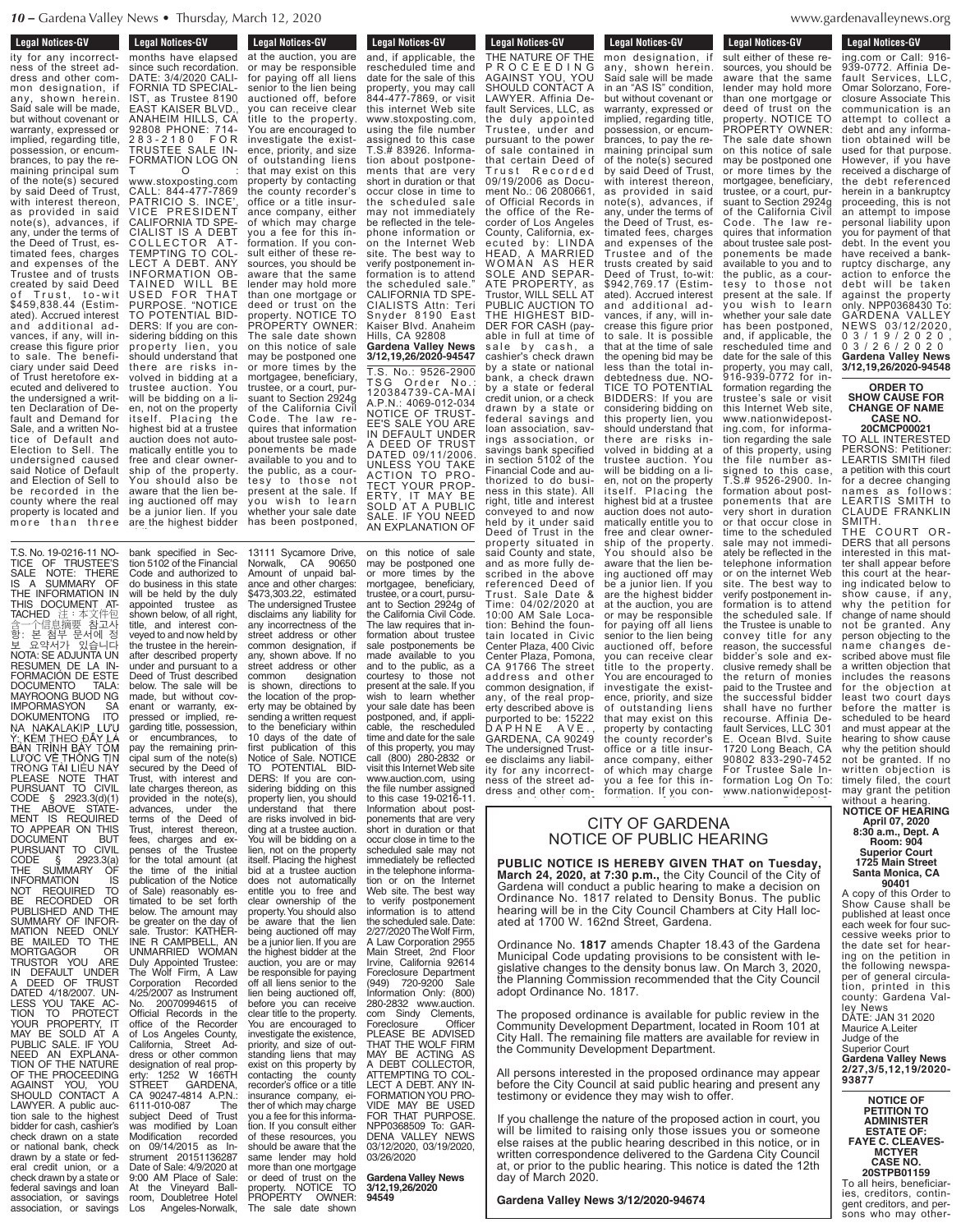# **Legal Notices-GV**

Eegal Nuttles-GV ity for any incorrectness of the street address and other common designation, if any, shown herein. Said sale will be made, but without covenant or warranty, expressed or implied, regarding title, possession, or encumbrances, to pay the remaining principal sum of the note(s) secured by said Deed of Trust, with interest thereon, provided in said note(s), advances, if any, under the terms of the Deed of Trust, estimated fees, charges and expenses of the Trustee and of trusts created by said Deed of Trust, to-wit \$459,838.44 (Estimated). Accrued interest and additional advances, if any, will increase this figure prior to sale. The beneficiary under said Deed of Trust heretofore executed and delivered to the undersigned a written Declaration of Default and Demand for Sale, and a written No-<br>tice of Default and of Default and Election to Sell. The undersigned caused said Notice of Default and Election of Sell to be recorded in the county where the real property is located and more than three

months have elapsed

T.S. No. 19-0216-11 NO-TICE OF TRUSTEE'S SALE NOTE: THERE IS A SUMMARY OF<br>THE INFORMATION IN THIS DOCUMENT AT-TACHED 注:本文件包 含一个信息摘要 참고사 항: 본 첨부 문서에 정 보 요약서가 있습니다 NOTA: SE ADJUNTA UN<br>RESUMEN, DE LA IN-FORMACIÓN DE ESTE<br>DOCUMENTO TALA: MAYROONG BUOD NG<br>IMPORMASYON SA DOKUMENTONG ITO NA NAKALAKIP LƯU Ý: KÈM THEO ĐÂY LÀ<br>BẢN TRÌNH BÀY TÓM<br>LƯỢC VỀ THỐNG TỊN TRONG TAI LIEU NAY PLEASE NOTE THAT PLEASE NOTE THAT<br>PURSUANT TO CIVIL CODE § 2923.3(d)(1) THE ABOVE STATE-MENT IS REQUIRED TO APPEAR ON THIS DOCUMENT BUT DOCUMENT BUT<br>PURSUANT TO CIVIL CODE § 2923.3(a)<br>THE SUMMARY OF IHE SUMMARY OF<br>INFORMATION IS INFORMATION IS<br>NOT REQUIRED TO NOT REQUIRED TO<br>BE RECORDED OR PUBLISHED AND THE SUMMARY OF INFOR-MATION NEED ONLY BE MAILED TO THE MORTGAGOR OR TRUSTOR YOU ARE IN DEFAULT UNDER A DEED OF TRUST<br>DATED 4/18/2007. UN-<br>LESS YOU TAKE AC-<br>TION TO PROTECT TION TO FROTECT MAY BE SOLD AT A PUBLIC SALE. IF YOU NEED AN EXPLANA-TION OF THE NATURE OF THE PROCEEDING AGAINST YOU, YOU SHOULD CONTACT A LAWYER. A public auc- $L$   $\sim$   $\mu$   $\sim$   $\mu$   $\mu$   $\sim$   $\mu$   $\sim$   $\mu$   $\sim$   $\mu$   $\sim$   $\mu$   $\sim$   $\mu$   $\sim$   $\mu$ tion sale to the inghest place for easily cashiers or national bank, check of *Hallohar bank*, check<br>drawn by a state or federal credit union, or a char created may be a check drawn by a state or check drawn by a state of<br>federal savings and loan association, or savings association, or savings bank specified in Sec-tion 5102 of the Financial or may be responsible bank specified in Section 5102 of the Financial since such recordation. T.S. No. 19-0216-11 NO-TICE OF TRUSTEE'S THE INFORMATION IN TACHED 注:本文件包 含一个信息摘要 참고사 항: 몬 점무 문서에 정 보 요약서가 있습니다 RESUMEN DE LA IN-DOCUMENTO TALA: IMPORMASYON SA <u>Y: KEM THEO ĐAY LA</u> BAN TRINH BAY TOM LUQU VE THONG TIN PURSUANT TO CIVIL  $CODE = 8 - 2923.3(0)(1)$ IHE ABOVE SIAIE-MENT IS REQUIRED PURSUANT TO CIVIL be recorded or<br>PUBLISHED AND THE<br>SULLIAN SUMMARY OF INFOR-MAIUN NEED UNLY BE MAILED IO INE<br>MODICACOD OD WURI GAGUR UR<br>TDUCTOD VOLL ADE INUSIUM YUU AME<br>IN DEEALIT LINDED in DEFAULI UNDEN<br>A DEED OF TRUST A DEED OF INUSI<br>DATED 4/19/202 IIN DAIED 4/10/2007. UN-<br>LECC VOLL TAKE AC LESS TUU IANE AU-<br>TION, TO BBOTECT TOUN FNUFENTI, II<br>MAY BE SOLN AT A NAI DE SULD AI A<br>DIBIIC SAIE IE VOII FUDLIC SALL. IF TOO<br>NEED AN EVDLANA NEED AN EAFLANA-<br>TION OF THE NATHEE TION OF THE NATURE UT THE FRUULLEDING<br>ACAINET VOLL VOLL AGAINST TOO, TOO<br>SHOLILD CONTACT A ence control A fouchat savings and found association, or savings association, or savings

Code and authorized to do business in this state will be held by the duly appointed trustee as shown below, of all right,<br>title, and interest conveyed to and now held by the trustee in the herein-<br>after described property under and pursuant to a Deed of Trust described<br>below. The sale will be made, but without covenant or warranty, expressed or implied, regarding title, possession, or encumbrances, to pay the remaining principal sum of the note(s) secured by the Deed of Trust, with interest and late charges thereon, as provided in the note(s),<br>advances, under the provided in the note(s),<br>advances, under the terms of the Deed of Trust, interest thereon, fees, charges and ex-<br>penses of the Trustee for the total amount (at the time of the initial publication of the Notice of Sale) reasonably estimated to be set forth mated to be set forth<br>below. The amount may be greater on the day of sale. Trustor: KATHER-INE R CAMPBELL, AN INE H CAMPBELL, AN<br>UNMARRIED WOMAN Duly Appointed Trustee: The Wolf Firm, A Law Corporation Recorded Corporation Recorded<br>4/25/2007 as Instrument<br>Ne. 20070004615 No. 20070994615 of no. zoo*r*ossabilis or<br>Official Records in the Official Hecords in the<br>office of the Recorder of Los Angeles County, California, Street Ad-California, Street Au-<br>dress or other common designation of real property: 1252 W 166TH STREET GARDENA, CA 90247-4814 A.P.N.: 6111-010-087 The subject Deed of Trust subject beed of frust<br>was modified by Loan recorded modification recorded<br>on 09/14/2015 as Instrument 20151136287 Date of Sale: 4/9/2020 at Bate of Bate: 4/9/2020 at<br>9:00 AM Place of Sale: 5.00 AM Hace of Ball-<br>At the Vineyard Ballroom, Doubletree Hotel Los Angeles-Norwalk, title, and interest conthe trustee in the hereinbelow. The sale will be  $c$ ipal sum of the note(s) secured by the Deed of Irust, with interest and advances, under the penses or the Irustee for the total amount (at the time of the Initial publication of the Notice or Sale) reasonably espe greater on the day of SAIC. INSION: KAIHER-<br>INF D.CAMPPELL AND UNIVIARRIEU VVUIVIAIN<br>Dube Appointed Trusteeu puly Appointed Trustee.<br>The Welf Firm A Lew THE VVOIL FIITH, A LAW onice of the necorder<br>of Los Angeles County or Los Arigeres Courrity,<br>California - Ctroot - Ad aress or other common<br>decignation of real propucsignation of real prop-<br>orbe 1959 M/ 166TH URIT TEST IN TOUTH<br>CTDEET CADDENA SINCEI GANDENA,<br>CA 90247-4814 A PN· OA 90247-4014 A.I.I.V..<br>6111-010-087 The **Modification** on 00/14/2010 as III-<br>strument 20151136287 Strument EUTST100207<br>Date of Sale: 4/9/2020 at Free the Vincydia Bailrean<br>room, Doubletree Hotel<br>Los Angeles-Norwalk,

at the auction, you are

**Legal Notices-GV Legal Nutices-GV** at the auction, you are or may be responsible for paying off all liens senior to the lien being auctioned off, before you can receive clear title to the property. You are encouraged to investigate the existence, priority, and size of outstanding liens **Legal Notices-GV** Legal Nutries-GV months have elapsed since such recordation. DATE: 3/4/2020 CALI-FORNIA TD SPECIAL-IST, as Trustee 8190 EAST KAISER BLVD., ANAHEIM HILLS, CA 92808 PHONE: 714- 2 8 3 - 2 1 8 0 F O R TRUSTEE SALE IN-FORMATION LOG ON T O :

that may exist on this property by contacting the county recorder's office or a title insurance company, either of which may charge you a fee for this information. If you consult either of these resources, you should be aware that the same lender may hold more than one mortgage or deed or trust on the property. NOTICE TO PROPERTY OWNER: The sale date shown on this notice of sale may be postponed one or more times by the mortgagee, beneficiary, trustee, or a court, pursuant to Section 2924g of the California Civil Code. The law rewww.stoxposting.com CALL: 844-477-7869 PATRICIO S. INCE', VICE PRESIDENT CALIFORNIA TD SPE-CIALIST IS A DEBT COLLECTOR AT-TEMPTING TO COL-LECT A DEBT. ANY INFORMATION OB-TAINED WILL BE USED FOR THAT PURPOSE. "NOTICE TO POTENTIAL BID-DERS: If you are considering bidding on this property lien, you should understand that there are risks involved in bidding at a trustee auction. You will be bidding on a lien, not on the property itself. Placing the highest bid at a trustee auction does not automatically entitle you to free and clear ownership of the property. You should also be aware that the lien being auctioned off may be a junior lien. If you are the highest bidder

13111 Sycamore Drive, Norwalk, CA 90650 Amount of unpaid balance and other charges: \$473,303.22, estimated The undersigned Trustee disclaims any liability for any incorrectness of the street address or other common designation, if any, shown above. If no<br>street address or other common designation<br>is shown, directions to the location of the prop-<br>erty may be obtained by sending a written request<br>to the beneficiary within 10 days of the date of first publication of this  $\overline{\phantom{a}}$ Notice of Sale. NOTICE TO POTENTIAL BID-DERS: If you are considering bidding on this property lien, you should<br>understand that there are risks involved in bid-**Gardena Valley News** ding at a trustee auction. You will be bidding on a lien, not on the property itself. Placing the highest bid at a trustee auction does not automatically entitle you to free and clear ownership of the property. You should also be aware that the lien being auctioned off may be a junior lien. If you are the highest bidder at the auction, you are or may be responsible for paying off all liens senior to the lien being auctioned off, before you can receive clear title to the property. You are encouraged to investigate the existence, priority, and size of outstanding liens that may exist on this property by contacting the county recorder's office or a title insurance company, ei- ther of which may charge you a fee for this information. If you consult either of these resources, you should be aware that the same lender may hold more than one mortgage or deed of trust on the property. NOTICE TO PROPERTY OWNER: The sale date shown quires that information about trustee sale postponements be made available to you and to the public, as a courtesy to those not present at the sale. If you wish to learn whether your sale date has been postponed, and, if applicable, the rescheduled time and 13111 Sycamore Drive, Norwalk, CA 90650 street address or other is shown, directions to erty may be obtained by to the beneficiary within understand that

on this notice of sale may be postponed one may be posiponed one<br>or more times by the or more ames by the<br>mortgagee, beneficiary, trustee, or a court, pursu-<br>ant to Section 2924g of ant to Section 252-9 or<br>the California Civil Code. The law requires that in-<br>formation about trustee sale postponements be made available to you and to the public, as a courtesy to those not present at the sale. If you present at the sale: if you<br>wish to learn whether wish to fearn whench<br>your sale date has been your called that section pootponod, and, if applitime and date for the sale of this property, you may call (800) 280-2832 or visit this Internet Web site www.auction.com, using the file number assigned to this case 19-0216-11. Information about postponements that are very short in duration or that occur close in time to the scheduled sale may not immediately be reflected in the telephone informa- tion or on the Internet Web site. The best way to verify postponement information is to attend the scheduled sale. Date: 2/27/2020 The Wolf Firm, A Law Corporation 2955 Main Street, 2nd Floor Irvine, California 92614 Foreclosure Department (949) 720-9200 Sale Information Only: (800) 280-2832 www.auction. com Sindy Clements, Foreclosure Officer PLEASE BE ADVISED THAT THE WOLF FIRM MAY BE ACTING AS<br>A DEBT COLLECTOR, ATTEMPTING TO COL-<br>LECT A DEBT. ANY IN-FORMATION YOU PRO-<br>VIDE MAY BE USED FOR THAT PURPOSE. NPP0368509 To: GAR-DENA VALLEY NEWS 03/12/2020, 03/19/2020, 03/26/2020 Gardena Valley News 3/12,19,26/2020 **94549** SOLD AT A PUBLIC SALE. IF YOU NEED AN EXPLANATION OF THE NATURE OF THE NATURE OF THE NATURE OF THE NATURE OF THE NATURE OF THE NATURE OF THE NATURE OF THE NATURE O on this notice of sale OIT THIS HOUGE OF SAIE trustee, or a court, pursu-The law requires that inodie posiponemento be<br>made available to vou  $\frac{1}{2}$  and to the nublic as a and to the pablic, as a<br>courtesy to those not ood: too, to those that<br>present at the sale. If you and also for the early si and property, 280-2832 or mmmass.com..., com...<br>the file number assigned  $\frac{3}{10}$  in the Humber acception mention the car poor  $\frac{1}{2}$  short in duration or that in the telephone information or on the Internet Web site. The best way<br>to verify postponement information is to attend the scheduled sale. Date: PLEASE BE ADVISED<br>THAT THE WOLF FIRM A DEBT COLLECTOR, LECT A DEBT. ANY IN-VIDE MAY BE USED Gardena Valley News

**Legal Notices-GV has been postponed by the postponed of the postponed of the postponed of the postponed of the postponed of the postponed of the postponed of the postponed of the postponed of the postponed of the postponed of the postpone** and, if applicable, the rescheduled time and date for the sale of this property, you may call 844-477-7869, or visit this internet Web site www.stoxposting.com, using the file number assigned to this case T.S.# 83926. Information about postponements that are very short in duration or that occur close in time to the scheduled sale may not immediately be reflected in the telephone information or on the Internet Web site. The best way to verify postponement information is to attend the scheduled sale. CALIFORNIA TD SPE-CIALISTS Attn: Teri Snyder 8190 East Kaiser Blvd. Anaheim Hills, CA 92808 **Gardena Valley News 3/12,19,26/2020-94547** T.S. No.: 9526-2900<br>TSG Order No.: Order No. 120384739-CA-MAI A.P.N.: 4069-012-034 NOTICE OF TRUST-EE'S SALE YOU ARE IN DEFAULT UNDER A DEED OF TRUST DATED 09/11/2006. UNLESS YOU TAKE ACTION TO PRO-TECT YOUR PROP-ERTY, IT MAY BE

**Legal Notices-GV** Legal Nutrices-GV THE NATURE OF THE P R O C E E D I N G AGAINST YOU, YOU SHOULD CONTACT A LAWYER. Affinia Default Services, LLC, as the duly appointed Trustee, under and pursuant to the power of sale contained in that certain Deed of<br>Trust Recorded Recorded 09/19/2006 as Document No.: 06 2080661, of Official Records in the office of the Recorder of Los Angeles County, California, executed by: LINDA HEAD, A MARRIED WOMAN AS HER SOLE AND SEPAR-ATE PROPERTY, as Trustor, WILL SELL AT PUBLIC AUCTION TO THE HIGHEST BID-DER FOR CASH (payable in full at time of sale by cash, a cashier's check drawn by a state or national bank, a check drawn by a state or federal credit union, or a check drawn by a state or federal savings and loan association, savings association, or savings bank specified in section 5102 of the Financial Code and authorized to do business in this state). All right, title and interest conveyed to and now held by it under said Deed of Trust in the property situated in said County and state, and as more fully described in the above referenced Deed of Trust. Sale Date & Time: 04/02/2020 at 10:00 AM Sale Location: Behind the fountain located in Civic Center Plaza, 400 Civic Center Plaza, Pomona, CA 91766 The street address and other common designation, if any, of the real property described above is purported to be: 15222 D A P H N E A V E . , GARDENA, CA 90249 The undersigned Trustee disclaims any liability for any incorrectness of the street address and other com-

mon designation, if

### any, shown herein. Said sale will be made in an "AS IS" condition, but without covenant or warranty, expressed or implied, regarding title, possession, or encumbrances, to pay the remaining principal sum of the note(s) secured by said Deed of Trust with interest thereon. as provided in said note(s), advances, if any, under the terms of the Deed of Trust, estimated fees, charges and expenses of the Trustee and of the trusts created by said Deed of Trust, to-wit: \$942,769.17 (Estimated). Accrued interest and additional advances, if any, will increase this figure prior to sale. It is possible that at the time of sale the opening bid may be less than the total indebtedness due. NO-TICE TO POTENTIAL BIDDERS: If you are considering bidding on this property lien, you should understand that there are risks involved in bidding at a trustee auction. You will be bidding on a lien, not on the property itself. Placing the highest bid at a trustee auction does not automatically entitle you to free and clear ownership of the property. You should also be aware that the lien being auctioned off may be a junior lien. If you are the highest bidder at the auction, you are or may be responsible for paying off all liens senior to the lien being auctioned off, before you can receive clear title to the property. You are encouraged to investigate the existence, priority, and size of outstanding liens that may exist on this property by contacting the county recorder's office or a title insurance company, either of which may charge you a fee for this in-

#### CITY OF GARDENA NOTICE OF PUBLIC HEARING 939-0772. Affinia Default services,  $\mathcal{L}$ correlationship This This May hold more than the Third more than the Third more than the Third more than the T TY OF GARDEN  $t$  or public fit any, shown herein.  $\overline{\phantom{a}}$  sate  $\overline{\phantom{a}}$  $\overline{a}$   $\overline{a}$  $\begin{bmatrix} 1 & 1 \end{bmatrix}$ ware the contract of

**PUBLIC** NOTICE IS HEREBY GIVEN THAT on Tuesday, **March 24, 2020, at 7:30 p.m., the City Council of the City of |** Gardena will conduct a public hearing to make a decision on  $\vert$  Ordinance No. 1817 related to Density Bonus. The public  $\vert$ hearing will be in the City Council Chambers at City Hall located at 1700 W. 162nd Street, Gardena. )<br>S HEREBY GIVEN THAT on Tuesday, I  $\text{ercs at City Hall loc-}$ the debt referenced **S HEREBY GIVEN** mated to behaving<br>a City Council Cham mo Street, Gardena. | PUBLIC NOTICE  $\left| \begin{array}{c} \text{of a} \\ \text{hearing will be in t} \\ \text{of } 4700 \text{ M} \end{array} \right|$ ated at 1700 W. II

Ordinance No. 1817 amends Chapter 18.43 of the Gardena | Municipal Code updating provisions to be consistent with le-| gislative changes to the density bonus law. On March 3, 2020, | the Planning Commission recommended that the City Council adopt Ordinance No. 1817. <sup>t</sup> amends Chapter 18.43 of the Gardena ssion recommended that the City Council<br>1817 have received a bank-' amends Chapter 18 about trade in the post-<br>1817 as provided in said | Ordinance No. 18  $\overline{\phantom{a}}$  the Planning Comr and the training community  $\Box$  adopt Ordinance is

The proposed ordinance is available for public review in the  $\vert$ | Community Development Department, located in Room 101 at |  $\vert$  City Hall. The remaining file matters are available for review in  $\vert$ the Community Development Department. ance is available for public review in the only. NPP0368430 To: GARDENA VALLEY ance is available for whether your sales date  $\frac{1}{2}$  The proposed ordi  $\mathbf{v}$  is any, will in-

All persons interested in the proposed ordinance may appear before the City Council at said public hearing and present any before the only counter at said public hearing<br>testimony or evidence they may wish to offer. nance may annear **1**  $\alpha$  and present any  $\alpha$ ig and present any **Gardena Valley News** d in the proposed or a in the proposed of  $\epsilon$  they may wish to  $\sigma$  $\overline{\phantom{a}}$  All nersons interes I hefore the City Cou  $\frac{1}{1}$  before the only control of said  $\mathsf{r}$  testimony of evide

If you challenge the nature of the proposed action in court, you | will be limited to raising only those issues you or someone  $|$  else raises at the public hearing described in this notice, or in written correspondence delivered to the Gardena City Council at, or prior to the public hearing. This notice is dated the 12th  $\frac{d}{d}$  day of March 2020. hature of the propose ono noanny. This not less than the total in- $\parallel$  11 you challenge the  $\frac{1}{1}$  at or prior to the n  $\int$  day of march 2020

Gardena Valley News 3/12/2020-94674 rs *31* T2/2020-94674  $\sim$ ordene Velley Ni strum and all parties are like

will be bidden on a little bidden.

#### denavalleynews.org  $S<sub>1</sub>$  $WWW, 9$  $\ldots$   $\ldots$   $\ldots$   $\ldots$

**Legal Notices-GV Example 19 International Example 20 Legal Notices-GV** 

sult either of these resources, you should be aware that the same lender may hold more than one mortgage or deed of trust on the property. NOTICE TO PROPERTY OWNER: The sale date shown on this notice of sale may be postponed one or more times by the mortgagee, beneficiary, trustee, or a court, pursuant to Section 2924g of the California Civil Code. The law requires that information about trustee sale postponements be made available to you and to the public, as a courtesy to those not present at the sale. If you wish to learn whether your sale date has been postponed, and, if applicable, the rescheduled time and date for the sale of this property, you may call, 916-939-0772 for information regarding the trustee's sale or visit this Internet Web site, www.nationwideposting.com, for information regarding the sale of this property, using the file number assigned to this case, T.S.# 9526-2900. Information about postponements that are very short in duration or that occur close in time to the scheduled sale may not immediately be reflected in the telephone information or on the internet Web site. The best way to verify postponement information is to attend the scheduled sale. If the Trustee is unable to convey title for any reason, the successful bidder's sole and exclusive remedy shall be the return of monies paid to the Trustee and the successful bidder shall have no further recourse. Affinia Default Services, LLC 301 E. Ocean Blvd. Suite 1720 Long Beach, CA 90802 833-290-7452 For Trustee Sale Information Log On To: www.nationwideposting.com or Call: 916- Legal Nutries-dv mon designation, if formation. If you con-

Legal Nutries-GV ing.com or Call: 916- 939-0772. Affinia Default Services, LLC, Omar Solorzano, Foreclosure Associate This communication is an attempt to collect a debt and any information obtained will be used for that purpose. However, if you have received a discharge of the debt referenced herein in a bankruptcy proceeding, this is not an attempt to impose personal liability upon you for payment of that debt. In the event you have received a bankruptcy discharge, any action to enforce the debt will be taken against the property only. NPP0368430 To: GARDENA VALLEY NEWS 03/12/2020, 0 3 / 1 9 / 2 0 2 0 , 0 3 / 2 6 / 2 0 2 0 **Gardena Valley News 3/12,19,26/2020-94548**

**Formation Legal Notices-GV** 

**ORDER TO SHOW CAUSE FOR CHANGE OF NAME CASE NO.**

**20CMCP00021**

TO ALL INTERESTED PERSONS: Petitioner: LEARTIS SMITH filed a petition with this court for a decree changing names as follows: LEARTIS SMITH to CLAUDE FRANKLIN SMITH.

THE COURT OR-DERS that all persons interested in this matter shall appear before this court at the hearing indicated below to show cause, if any, why the petition for change of name should not be granted. Any person objecting to the name changes described above must file a written objection that includes the reasons for the objection at least two court days before the matter is scheduled to be heard and must appear at the hearing to show cause why the petition should not be granted. If no written objection is timely filed, the court may grant the petition

without a hearing. **NOTICE OF HEARING April 07, 2020 8:30 a.m., Dept. A Room: 904**

**Superior Court 1725 Main Street Santa Monica, CA 90401**

A copy of this Order to Show Cause shall be published at least once each week for four successive weeks prior to the date set for hearing on the petition in the following newspaper of general circulation, printed in this county: Gardena Val-

DATE: JAN 31 2020 Maurice A.Leiter Judge of the Superior Court **Gardena Valley News 2/27,3/5,12,19/2020- 93877**

ley News

**NOTICE OF PETITION TO ADMINISTER ESTATE OF: FAYE C. CLEAVES-MCTYER CASE NO. 20STPB01159**

To all heirs, beneficiaries, creditors, contingent creditors, and persons who may other-